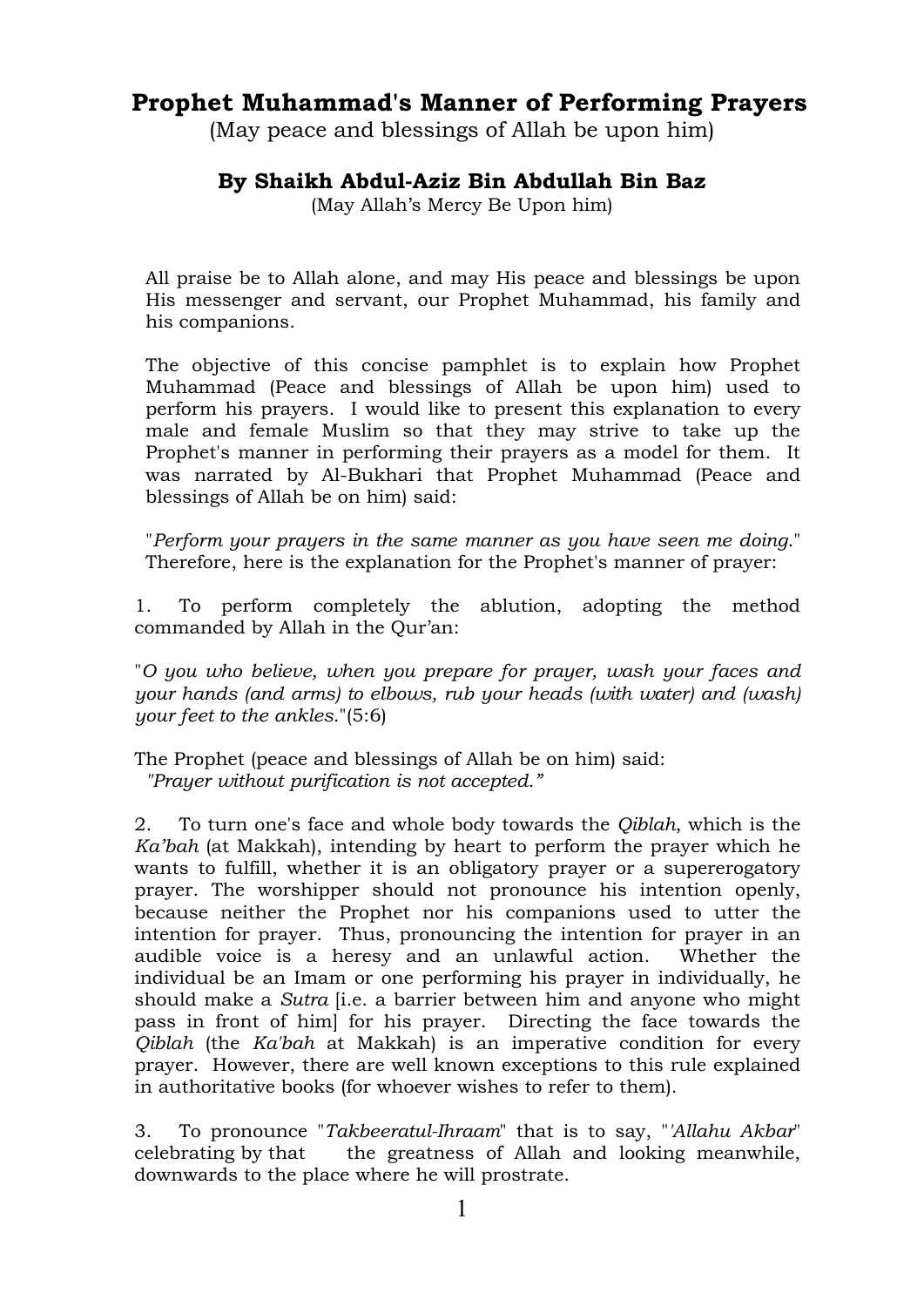# **Prophet Muhammad's Manner of Performing Prayers**

(May peace and blessings of Allah be upon him)

# **By Shaikh Abdul-Aziz Bin Abdullah Bin Baz**

(May Allah's Mercy Be Upon him)

All praise be to Allah alone, and may His peace and blessings be upon His messenger and servant, our Prophet Muhammad, his family and his companions.

The objective of this concise pamphlet is to explain how Prophet Muhammad (Peace and blessings of Allah be upon him) used to perform his prayers. I would like to present this explanation to every male and female Muslim so that they may strive to take up the Prophet's manner in performing their prayers as a model for them. It was narrated by Al-Bukhari that Prophet Muhammad (Peace and blessings of Allah be on him) said:

"*Perform your prayers in the same manner as you have seen me doing*." Therefore, here is the explanation for the Prophet's manner of prayer:

1. To perform completely the ablution, adopting the method commanded by Allah in the Qur'an:

"*O you who believe, when you prepare for prayer, wash your faces and your hands (and arms) to elbows, rub your heads (with water) and (wash) your feet to the ankles*."(5:6)

The Prophet (peace and blessings of Allah be on him) said: *"Prayer without purification is not accepted."*

2. To turn one's face and whole body towards the *Qiblah*, which is the *Ka'bah* (at Makkah), intending by heart to perform the prayer which he wants to fulfill, whether it is an obligatory prayer or a supererogatory prayer. The worshipper should not pronounce his intention openly, because neither the Prophet nor his companions used to utter the intention for prayer. Thus, pronouncing the intention for prayer in an audible voice is a heresy and an unlawful action. Whether the individual be an Imam or one performing his prayer in individually, he should make a *Sutra* [i.e. a barrier between him and anyone who might pass in front of him] for his prayer. Directing the face towards the *Qiblah* (the *Ka'bah* at Makkah) is an imperative condition for every prayer. However, there are well known exceptions to this rule explained in authoritative books (for whoever wishes to refer to them).

3. To pronounce "*Takbeeratul-Ihraam*" that is to say, "*'Allahu Akbar*" celebrating by that the greatness of Allah and looking meanwhile, downwards to the place where he will prostrate.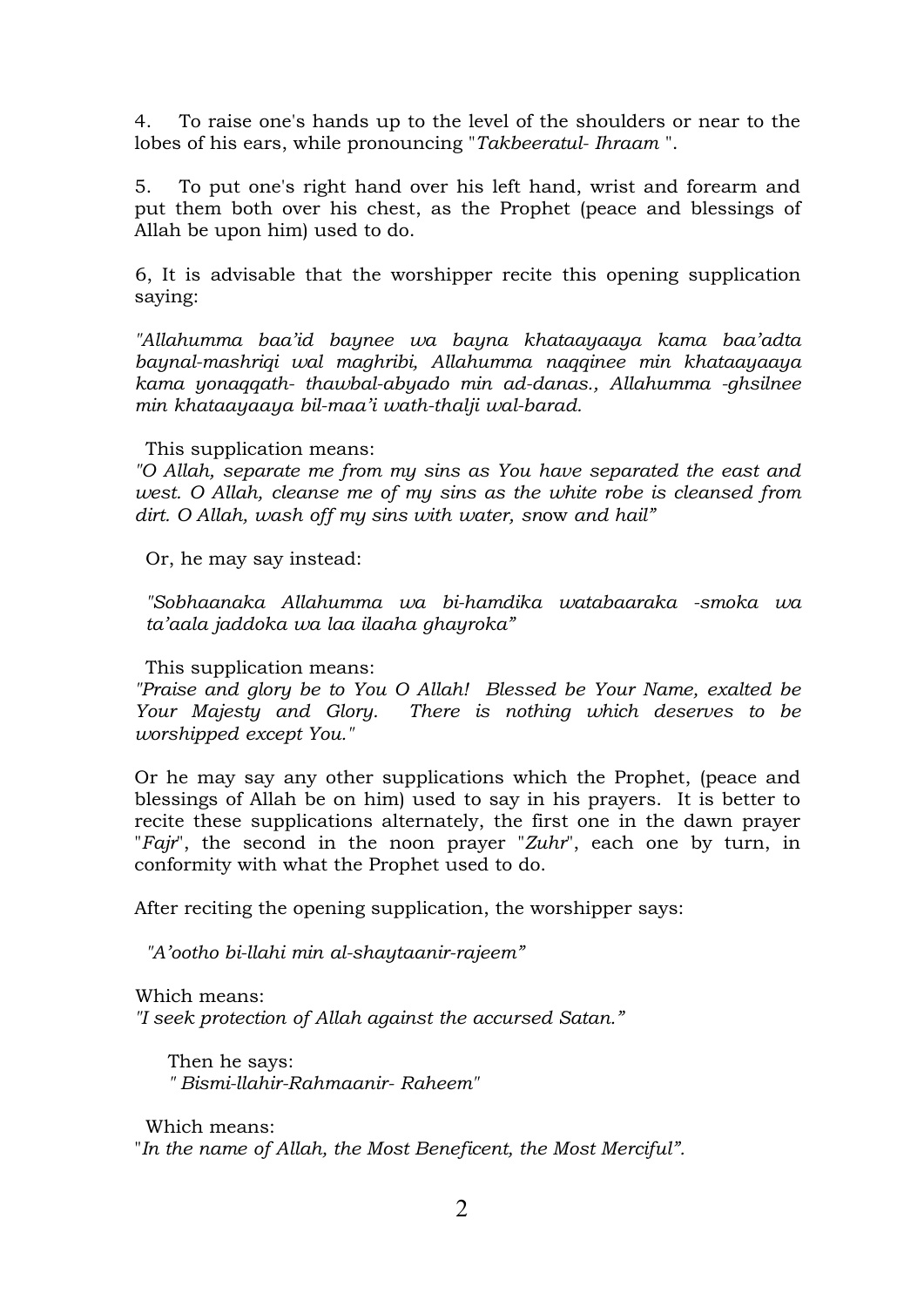4. To raise one's hands up to the level of the shoulders or near to the lobes of his ears, while pronouncing "*Takbeeratul- Ihraam* ".

5. To put one's right hand over his left hand, wrist and forearm and put them both over his chest, as the Prophet (peace and blessings of Allah be upon him) used to do.

6, It is advisable that the worshipper recite this opening supplication saying:

*"Allahumma baa'id baynee wa bayna khataayaaya kama baa'adta baynal-mashriqi wal maghribi, Allahumma naqqinee min khataayaaya kama yonaqqath- thawbal-abyado min ad-danas., Allahumma -ghsilnee min khataayaaya bil-maa'i wath-thalji wal-barad.*

#### This supplication means:

*"O Allah, separate me from my sins as You have separated the east and west. O Allah, cleanse me of my sins as the white robe is cleansed from dirt. O Allah, wash off my sins with water, sn*ow *and hail"*

Or, he may say instead:

*"Sobhaanaka Allahumma wa bi-hamdika watabaaraka -smoka wa ta'aala jaddoka wa laa ilaaha ghayroka"*

This supplication means:

*"Praise and glory be to You O Allah! Blessed be Your Name, exalted be Your Majesty and Glory. There is nothing which deserves to be worshipped except You."*

Or he may say any other supplications which the Prophet, (peace and blessings of Allah be on him) used to say in his prayers. It is better to recite these supplications alternately, the first one in the dawn prayer "*Fajr*", the second in the noon prayer "*Zuhr*", each one by turn, in conformity with what the Prophet used to do.

After reciting the opening supplication, the worshipper says:

*"A'ootho bi-llahi min al-shaytaanir-rajeem"* 

Which means:

*"I seek protection of Allah against the accursed Satan."*

Then he says: *" Bismi-llahir-Rahmaanir- Raheem"*

Which means: "*In the name of Allah, the Most Beneficent, the Most Merciful".*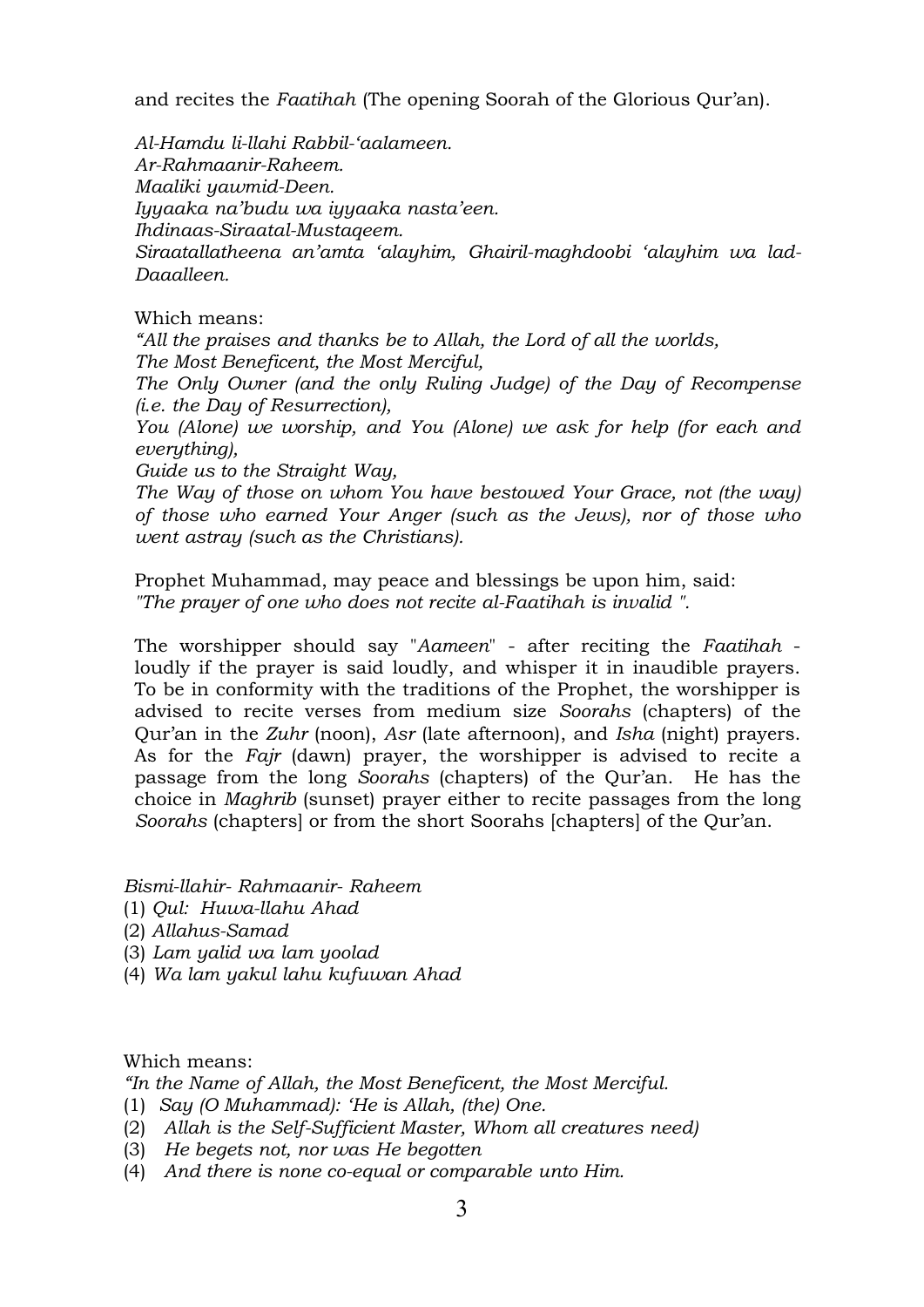and recites the *Faatihah* (The opening Soorah of the Glorious Qur'an).

*Al-Hamdu li-llahi Rabbil-'aalameen. Ar-Rahmaanir-Raheem. Maaliki yawmid-Deen. Iyyaaka na'budu wa iyyaaka nasta'een. Ihdinaas-Siraatal-Mustaqeem. Siraatallatheena an'amta 'alayhim, Ghairil-maghdoobi 'alayhim wa lad-Daaalleen.*

# Which means:

*"All the praises and thanks be to Allah, the Lord of all the worlds, The Most Beneficent, the Most Merciful,* 

*The Only Owner (and the only Ruling Judge) of the Day of Recompense (i.e. the Day of Resurrection),* 

*You (Alone) we worship, and You (Alone) we ask for help (for each and everything),* 

*Guide us to the Straight Way,* 

*The Way of those on whom You have bestowed Your Grace, not (the way) of those who earned Your Anger (such as the Jews), nor of those who went astray (such as the Christians).*

Prophet Muhammad, may peace and blessings be upon him, said: *"The prayer of one who does not recite al-Faatihah is invalid ".*

The worshipper should say "*Aameen*" - after reciting the *Faatihah* loudly if the prayer is said loudly, and whisper it in inaudible prayers. To be in conformity with the traditions of the Prophet, the worshipper is advised to recite verses from medium size *Soorahs* (chapters) of the Qur'an in the *Zuhr* (noon), *Asr* (late afternoon), and *Isha* (night) prayers. As for the *Fajr* (dawn) prayer, the worshipper is advised to recite a passage from the long *Soorahs* (chapters) of the Qur'an. He has the choice in *Maghrib* (sunset) prayer either to recite passages from the long *Soorahs* (chapters] or from the short Soorahs [chapters] of the Qur'an.

*Bismi-llahir- Rahmaanir- Raheem*

- (1) *Qul: Huwa-llahu Ahad*
- (2) *Allahus-Samad*
- (3) *Lam yalid wa lam yoolad*
- (4) *Wa lam yakul lahu kufuwan Ahad*

Which means:

*"In the Name of Allah, the Most Beneficent, the Most Merciful.*

- (1) *Say (O Muhammad): 'He is Allah, (the) One.*
- (2) *Allah is the Self-Sufficient Master, Whom all creatures need)*
- (3) *He begets not, nor was He begotten*
- (4) *And there is none co-equal or comparable unto Him.*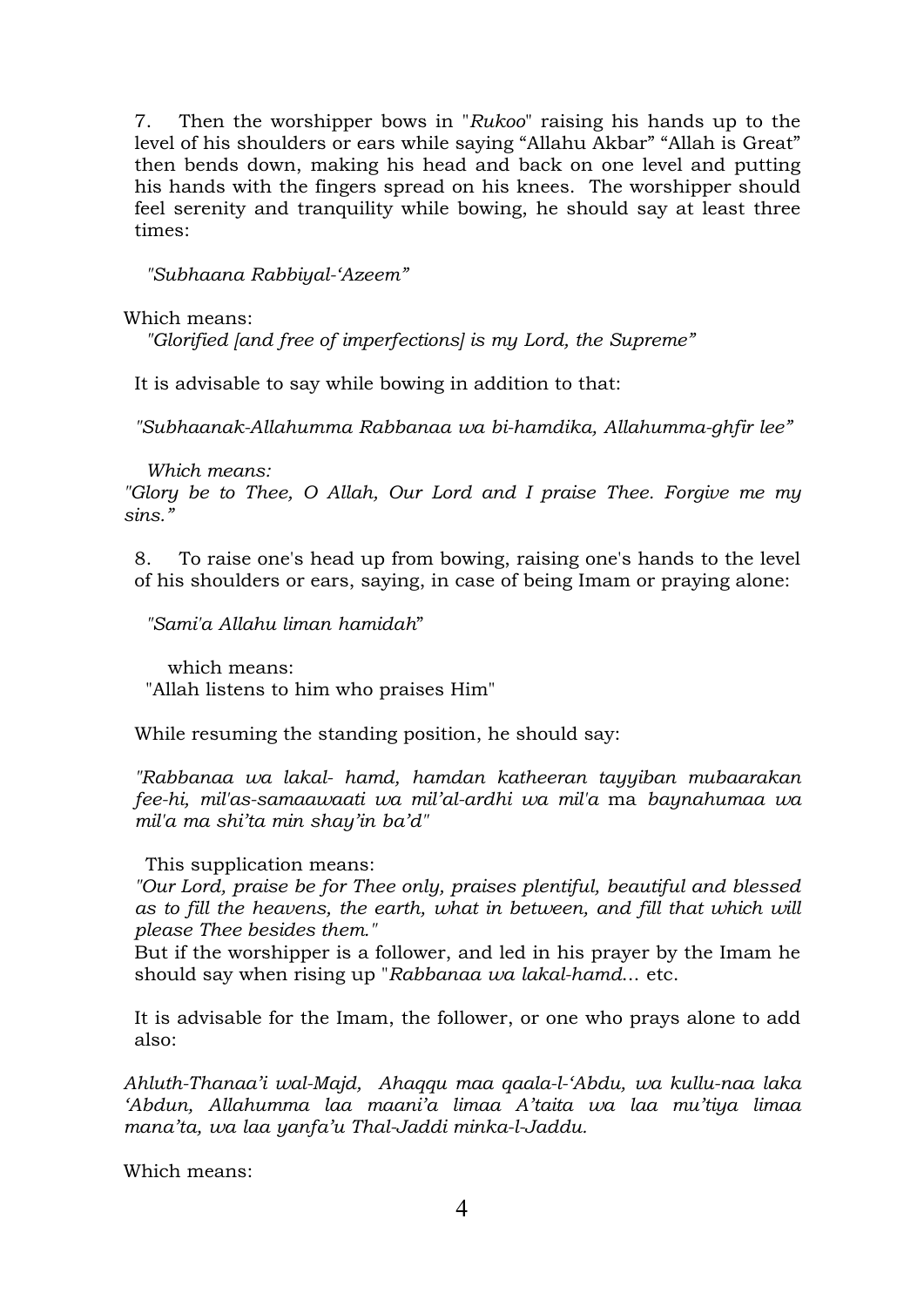7. Then the worshipper bows in "*Rukoo*" raising his hands up to the level of his shoulders or ears while saying "Allahu Akbar" "Allah is Great" then bends down, making his head and back on one level and putting his hands with the fingers spread on his knees. The worshipper should feel serenity and tranquility while bowing, he should say at least three times:

*"Subhaana Rabbiyal-'Azeem"* 

Which means:

*"Glorified [and free of imperfections] is my Lord, the Supreme"*

It is advisable to say while bowing in addition to that:

*"Subhaanak-Allahumma Rabbanaa wa bi-hamdika, Allahumma-ghfir lee"*

*Which means:*

*"Glory be to Thee, O Allah, Our Lord and I praise Thee. Forgive me my sins."* 

8. To raise one's head up from bowing, raising one's hands to the level of his shoulders or ears, saying, in case of being Imam or praying alone:

*"Sami'a Allahu liman hamidah*"

which means: "Allah listens to him who praises Him"

While resuming the standing position, he should say:

*"Rabbanaa wa lakal- hamd, hamdan katheeran tayyiban mubaarakan fee-hi, mil'as-samaawaati wa mil'al-ardhi wa mil'a* ma *baynahumaa wa mil'a ma shi'ta min shay'in ba'd"*

This supplication means:

*"Our Lord, praise be for Thee only, praises plentiful, beautiful and blessed as to fill the heavens, the earth, what in between, and fill that which will please Thee besides them."*

But if the worshipper is a follower, and led in his prayer by the Imam he should say when rising up "*Rabbanaa wa lakal-hamd*... etc.

It is advisable for the Imam, the follower, or one who prays alone to add also:

*Ahluth-Thanaa'i wal-Majd, Ahaqqu maa qaala-l-'Abdu, wa kullu-naa laka 'Abdun, Allahumma laa maani'a limaa A'taita wa laa mu'tiya limaa mana'ta, wa laa yanfa'u Thal-Jaddi minka-l-Jaddu.*

Which means: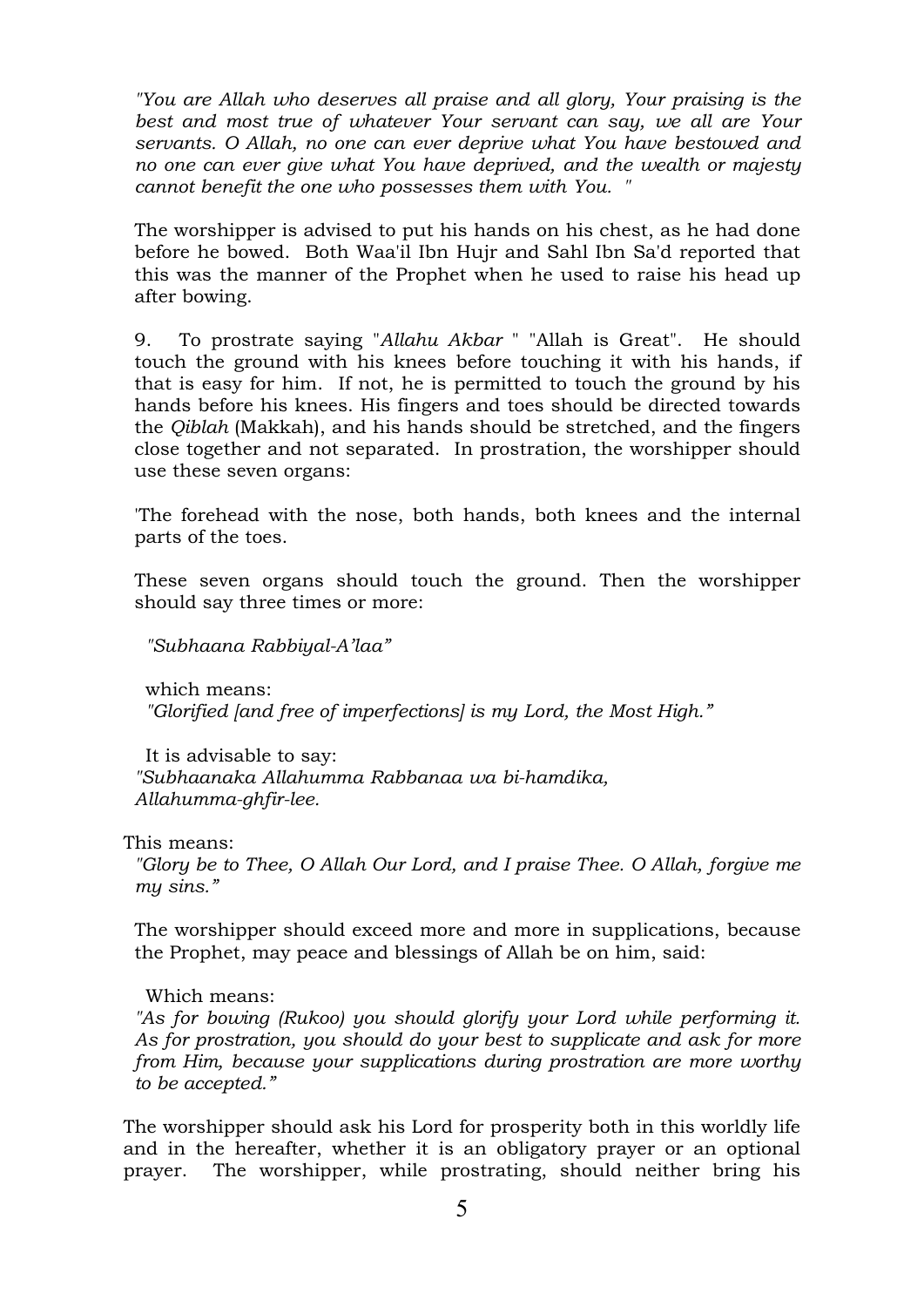*"You are Allah who deserves all praise and all glory, Your praising is the best and most true of whatever Your servant can say, we all are Your servants. O Allah, no one can ever deprive what You have bestowed and no one can ever give what You have deprived, and the wealth or majesty cannot benefit the one who possesses them with You. "*

The worshipper is advised to put his hands on his chest, as he had done before he bowed. Both Waa'il Ibn Hujr and Sahl Ibn Sa'd reported that this was the manner of the Prophet when he used to raise his head up after bowing.

9. To prostrate saying "*Allahu Akbar* " "Allah is Great". He should touch the ground with his knees before touching it with his hands, if that is easy for him. If not, he is permitted to touch the ground by his hands before his knees. His fingers and toes should be directed towards the *Qiblah* (Makkah), and his hands should be stretched, and the fingers close together and not separated. In prostration, the worshipper should use these seven organs:

'The forehead with the nose, both hands, both knees and the internal parts of the toes.

These seven organs should touch the ground. Then the worshipper should say three times or more:

*"Subhaana Rabbiyal-A'laa"*

which means: *"Glorified [and free of imperfections] is my Lord, the Most High."*

It is advisable to say: *"Subhaanaka Allahumma Rabbanaa wa bi-hamdika, Allahumma-ghfir-lee.*

This means:

*"Glory be to Thee, O Allah Our Lord, and I praise Thee. O Allah, forgive me my sins."* 

The worshipper should exceed more and more in supplications, because the Prophet, may peace and blessings of Allah be on him, said:

Which means:

*"As for bowing (Rukoo) you should glorify your Lord while performing it. As for prostration, you should do your best to supplicate and ask for more from Him, because your supplications during prostration are more worthy to be accepted."*

The worshipper should ask his Lord for prosperity both in this worldly life and in the hereafter, whether it is an obligatory prayer or an optional prayer. The worshipper, while prostrating, should neither bring his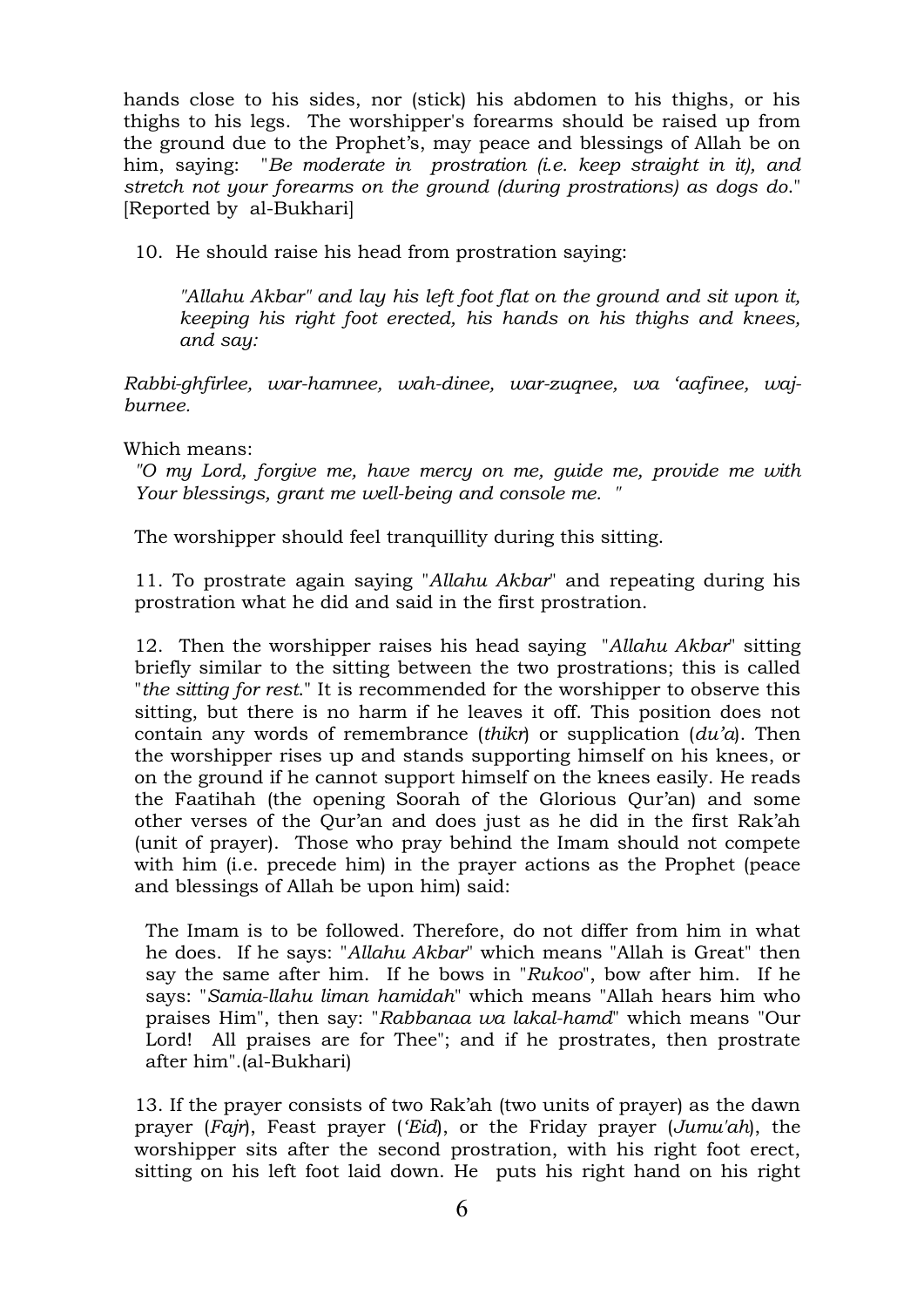hands close to his sides, nor (stick) his abdomen to his thighs, or his thighs to his legs. The worshipper's forearms should be raised up from the ground due to the Prophet's, may peace and blessings of Allah be on him, saying: "*Be moderate in prostration (i.e. keep straight in it), and stretch not your forearms on the ground (during prostrations) as dogs do*." [Reported by al-Bukhari]

10. He should raise his head from prostration saying:

*"Allahu Akbar" and lay his left foot flat on the ground and sit upon it, keeping his right foot erected, his hands on his thighs and knees, and say:*

*Rabbi-ghfirlee, war-hamnee, wah-dinee, war-zuqnee, wa 'aafinee, wajburnee.*

Which means:

*"O my Lord, forgive me, have mercy on me, guide me, provide me with Your blessings, grant me well-being and console me. "*

The worshipper should feel tranquillity during this sitting.

11. To prostrate again saying "*Allahu Akbar*" and repeating during his prostration what he did and said in the first prostration.

12. Then the worshipper raises his head saying "*Allahu Akbar*" sitting briefly similar to the sitting between the two prostrations; this is called "*the sitting for rest*." It is recommended for the worshipper to observe this sitting, but there is no harm if he leaves it off. This position does not contain any words of remembrance (*thikr*) or supplication (*du'a*). Then the worshipper rises up and stands supporting himself on his knees, or on the ground if he cannot support himself on the knees easily. He reads the Faatihah (the opening Soorah of the Glorious Qur'an) and some other verses of the Qur'an and does just as he did in the first Rak'ah (unit of prayer). Those who pray behind the Imam should not compete with him (i.e. precede him) in the prayer actions as the Prophet (peace and blessings of Allah be upon him) said:

The Imam is to be followed. Therefore, do not differ from him in what he does. If he says: "*Allahu Akbar*" which means "Allah is Great" then say the same after him. If he bows in "*Rukoo*", bow after him. If he says: "*Samia-llahu liman hamidah*" which means "Allah hears him who praises Him", then say: "*Rabbanaa wa lakal-hamd*" which means "Our Lord! All praises are for Thee"; and if he prostrates, then prostrate after him".(al-Bukhari)

13. If the prayer consists of two Rak'ah (two units of prayer) as the dawn prayer (*Fajr*), Feast prayer (*'Eid*), or the Friday prayer (*Jumu'ah*), the worshipper sits after the second prostration, with his right foot erect, sitting on his left foot laid down. He puts his right hand on his right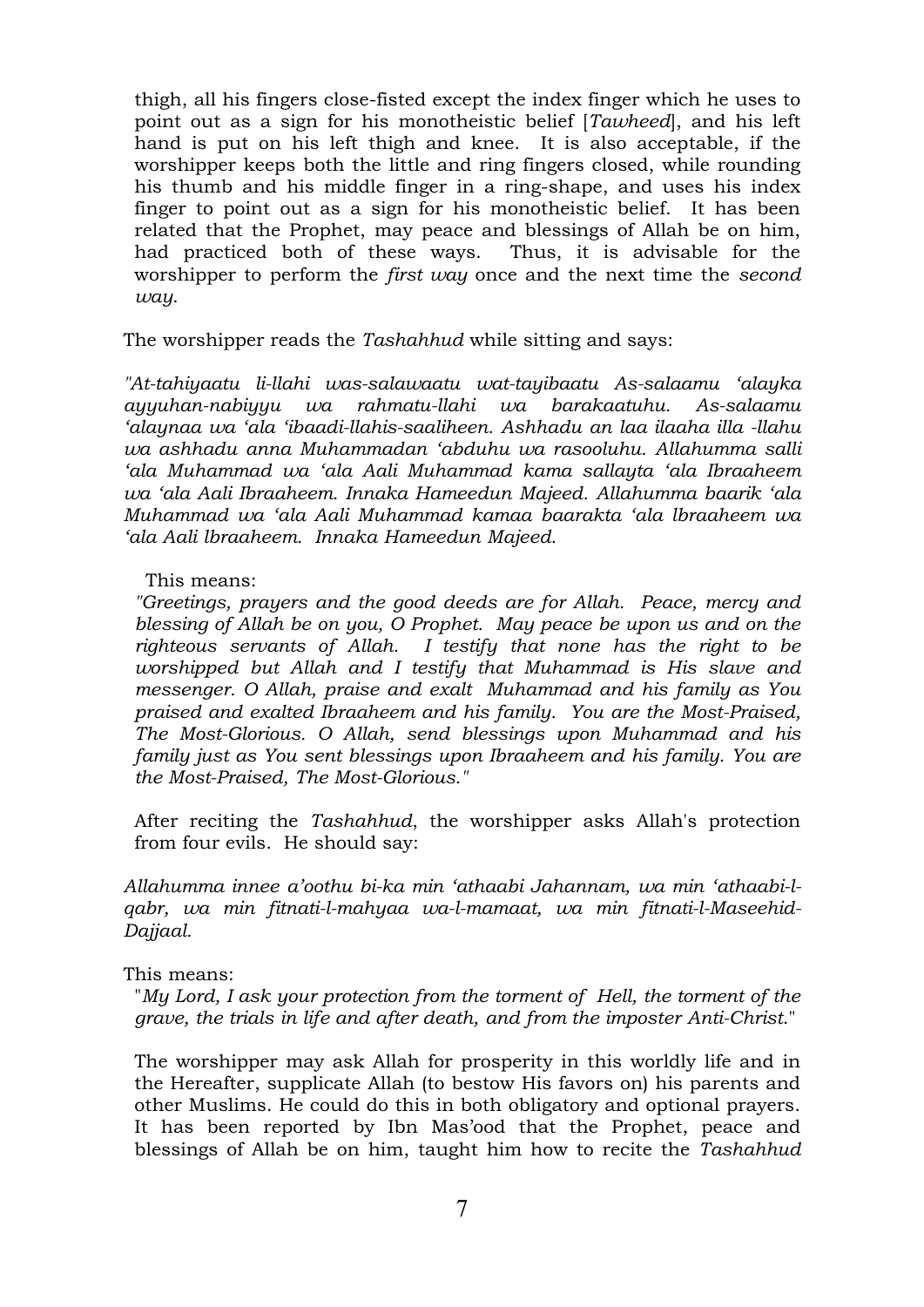thigh, all his fingers close-fisted except the index finger which he uses to point out as a sign for his monotheistic belief [*Tawheed*], and his left hand is put on his left thigh and knee. It is also acceptable, if the worshipper keeps both the little and ring fingers closed, while rounding his thumb and his middle finger in a ring-shape, and uses his index finger to point out as a sign for his monotheistic belief. It has been related that the Prophet, may peace and blessings of Allah be on him, had practiced both of these ways. Thus, it is advisable for the worshipper to perform the *first way* once and the next time the *second way*.

The worshipper reads the *Tashahhud* while sitting and says:

*"At-tahiyaatu li-llahi was-salawaatu wat-tayibaatu As-salaamu 'alayka ayyuhan-nabiyyu wa rahmatu-llahi wa barakaatuhu. As-salaamu 'alaynaa wa 'ala 'ibaadi-llahis-saaliheen. Ashhadu an laa ilaaha illa -llahu wa ashhadu anna Muhammadan 'abduhu wa rasooluhu. Allahumma salli 'ala Muhammad wa 'ala Aali Muhammad kama sallayta 'ala Ibraaheem wa 'ala Aali Ibraaheem. Innaka Hameedun Majeed. Allahumma baarik 'ala Muhammad wa 'ala Aali Muhammad kamaa baarakta 'ala lbraaheem wa 'ala Aali lbraaheem. Innaka Hameedun Majeed.*

# This means:

*"Greetings, prayers and the good deeds are for Allah. Peace, mercy and blessing of Allah be on you, O Prophet. May peace be upon us and on the righteous servants of Allah. I testify that none has the right to be worshipped but Allah and I testify that Muhammad is His slave and messenger. O Allah, praise and exalt Muhammad and his family as You praised and exalted Ibraaheem and his family. You are the Most-Praised, The Most-Glorious. O Allah, send blessings upon Muhammad and his family just as You sent blessings upon Ibraaheem and his family. You are the Most-Praised, The Most-Glorious."*

After reciting the *Tashahhud*, the worshipper asks Allah's protection from four evils. He should say:

*Allahumma innee a'oothu bi-ka min 'athaabi Jahannam, wa min 'athaabi-lqabr, wa min fitnati-l-mahyaa wa-l-mamaat, wa min fitnati-l-Maseehid-Dajjaal.*

#### This means:

"*My Lord, I ask your protection from the torment of Hell, the torment of the grave, the trials in life and after death, and from the imposter Anti-Christ*."

The worshipper may ask Allah for prosperity in this worldly life and in the Hereafter, supplicate Allah (to bestow His favors on) his parents and other Muslims. He could do this in both obligatory and optional prayers. It has been reported by Ibn Mas'ood that the Prophet, peace and blessings of Allah be on him, taught him how to recite the *Tashahhud*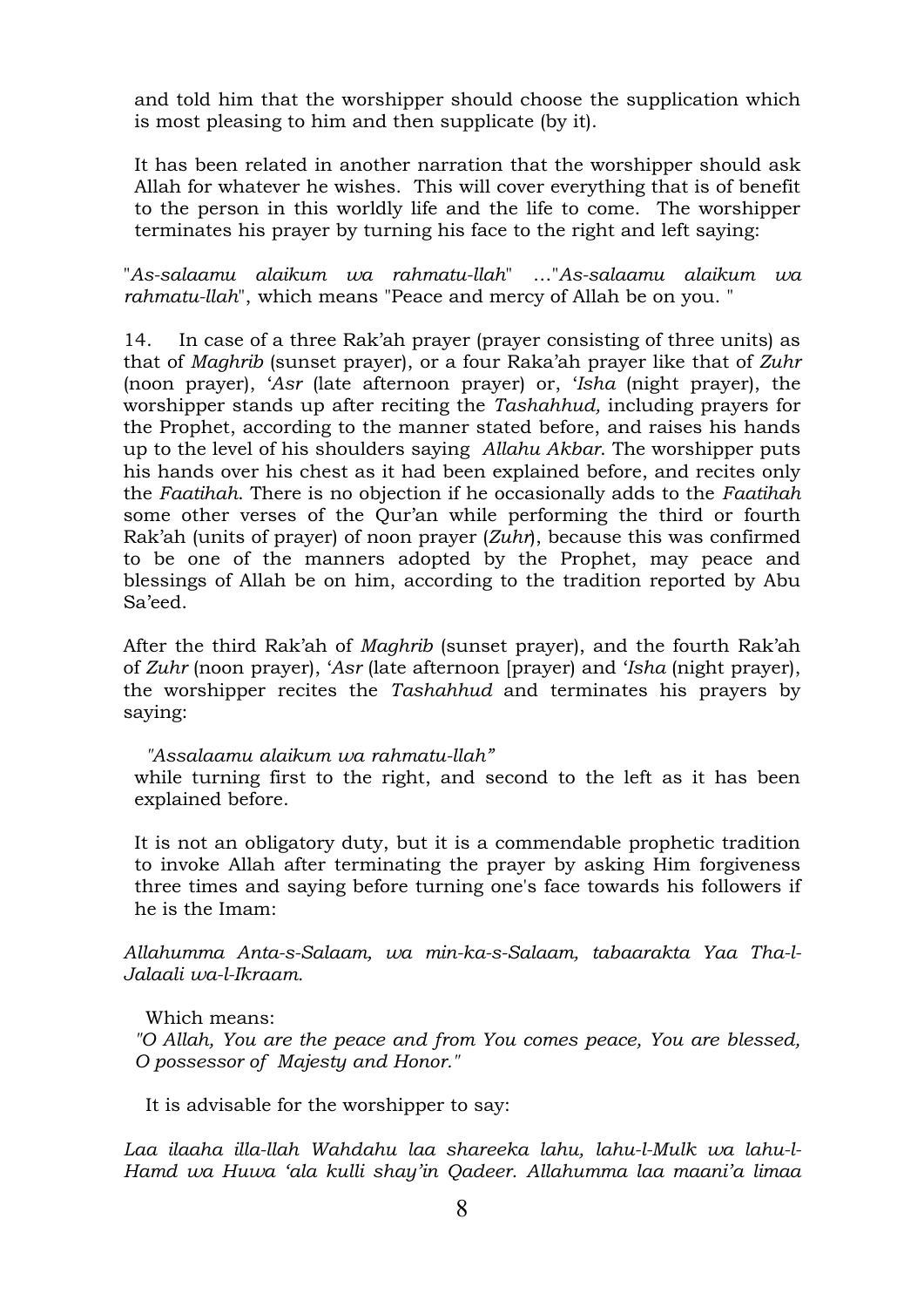and told him that the worshipper should choose the supplication which is most pleasing to him and then supplicate (by it).

It has been related in another narration that the worshipper should ask Allah for whatever he wishes. This will cover everything that is of benefit to the person in this worldly life and the life to come. The worshipper terminates his prayer by turning his face to the right and left saying:

"*As-salaamu alaikum wa rahmatu-llah*" …"*As-salaamu alaikum wa rahmatu-llah*", which means "Peace and mercy of Allah be on you. "

14. In case of a three Rak'ah prayer (prayer consisting of three units) as that of *Maghrib* (sunset prayer), or a four Raka'ah prayer like that of *Zuhr* (noon prayer), '*Asr* (late afternoon prayer) or, '*Isha* (night prayer), the worshipper stands up after reciting the *Tashahhud,* including prayers for the Prophet, according to the manner stated before, and raises his hands up to the level of his shoulders saying *Allahu Akbar*. The worshipper puts his hands over his chest as it had been explained before, and recites only the *Faatihah*. There is no objection if he occasionally adds to the *Faatihah* some other verses of the Qur'an while performing the third or fourth Rak'ah (units of prayer) of noon prayer (*Zuhr*), because this was confirmed to be one of the manners adopted by the Prophet, may peace and blessings of Allah be on him, according to the tradition reported by Abu Sa'eed.

After the third Rak'ah of *Maghrib* (sunset prayer), and the fourth Rak'ah of *Zuhr* (noon prayer), '*Asr* (late afternoon [prayer) and '*Isha* (night prayer), the worshipper recites the *Tashahhud* and terminates his prayers by saying:

#### *"Assalaamu alaikum wa rahmatu-llah"*

while turning first to the right, and second to the left as it has been explained before.

It is not an obligatory duty, but it is a commendable prophetic tradition to invoke Allah after terminating the prayer by asking Him forgiveness three times and saying before turning one's face towards his followers if he is the Imam:

*Allahumma Anta-s-Salaam, wa min-ka-s-Salaam, tabaarakta Yaa Tha-l-Jalaali wa-l-Ikraam.*

#### Which means:

*"O Allah, You are the peace and from You comes peace, You are blessed, O possessor of Majesty and Honor."*

It is advisable for the worshipper to say:

*Laa ilaaha illa-llah Wahdahu laa shareeka lahu, lahu-l-Mulk wa lahu-l-Hamd wa Huwa 'ala kulli shay'in Qadeer. Allahumma laa maani'a limaa*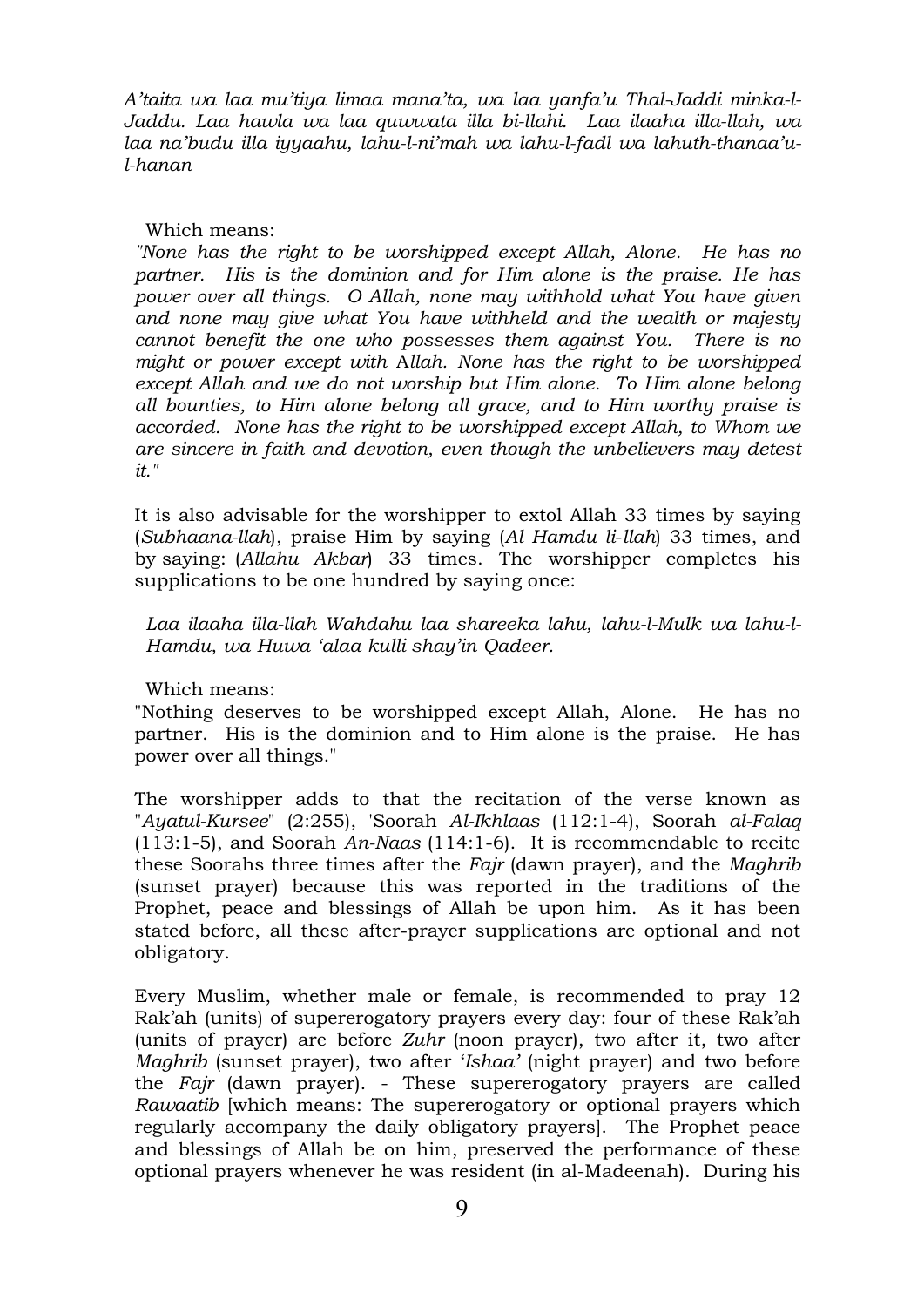*A'taita wa laa mu'tiya limaa mana'ta, wa laa yanfa'u Thal-Jaddi minka-l-Jaddu. Laa hawla wa laa quwwata illa bi-llahi. Laa ilaaha illa-llah, wa laa na'budu illa iyyaahu, lahu-l-ni'mah wa lahu-l-fadl wa lahuth-thanaa'ul-hanan*

# Which means:

*"None has the right to be worshipped except Allah, Alone. He has no partner. His is the dominion and for Him alone is the praise. He has power over all things. O Allah, none may withhold what You have given and none may give what You have withheld and the wealth or majesty cannot benefit the one who possesses them against You. There is no might or power except with* A*llah. None has the right to be worshipped except Allah and we do not worship but Him alone. To Him alone belong all bounties, to Him alone belong all grace, and to Him worthy praise is accorded. None has the right to be worshipped except Allah, to Whom we are sincere in faith and devotion, even though the unbelievers may detest it."*

It is also advisable for the worshipper to extol Allah 33 times by saying (*Subhaana-llah*), praise Him by saying (*Al Hamdu li*-*llah*) 33 times, and by saying: (*Allahu Akbar*) 33 times. The worshipper completes his supplications to be one hundred by saying once:

*Laa ilaaha illa-llah Wahdahu laa shareeka lahu, lahu-l-Mulk wa lahu-l-Hamdu, wa Huwa 'alaa kulli shay'in Qadeer.*

Which means:

"Nothing deserves to be worshipped except Allah, Alone. He has no partner. His is the dominion and to Him alone is the praise. He has power over all things."

The worshipper adds to that the recitation of the verse known as "*Ayatul-Kursee*" (2:255), 'Soorah *Al-Ikhlaas* (112:1-4), Soorah *al-Falaq* (113:1-5), and Soorah *An-Naas* (114:1-6). It is recommendable to recite these Soorahs three times after the *Fajr* (dawn prayer), and the *Maghrib* (sunset prayer) because this was reported in the traditions of the Prophet, peace and blessings of Allah be upon him. As it has been stated before, all these after-prayer supplications are optional and not obligatory.

Every Muslim, whether male or female, is recommended to pray 12 Rak'ah (units) of supererogatory prayers every day: four of these Rak'ah (units of prayer) are before *Zuhr* (noon prayer), two after it, two after *Maghrib* (sunset prayer), two after '*Ishaa'* (night prayer) and two before the *Fajr* (dawn prayer). - These supererogatory prayers are called *Rawaatib* [which means: The supererogatory or optional prayers which regularly accompany the daily obligatory prayers]. The Prophet peace and blessings of Allah be on him, preserved the performance of these optional prayers whenever he was resident (in al-Madeenah). During his